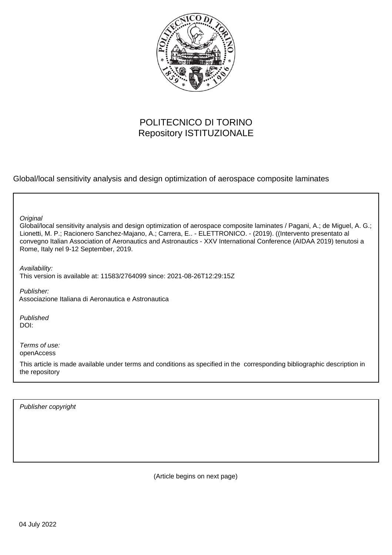

## POLITECNICO DI TORINO Repository ISTITUZIONALE

Global/local sensitivity analysis and design optimization of aerospace composite laminates

**Original** 

Global/local sensitivity analysis and design optimization of aerospace composite laminates / Pagani, A.; de Miguel, A. G.; Lionetti, M. P.; Racionero Sanchez-Majano, A.; Carrera, E.. - ELETTRONICO. - (2019). ((Intervento presentato al convegno Italian Association of Aeronautics and Astronautics - XXV International Conference (AIDAA 2019) tenutosi a Rome, Italy nel 9-12 September, 2019.

Availability: This version is available at: 11583/2764099 since: 2021-08-26T12:29:15Z

Publisher: Associazione Italiana di Aeronautica e Astronautica

Published DOI:

Terms of use: openAccess

This article is made available under terms and conditions as specified in the corresponding bibliographic description in the repository

Publisher copyright

(Article begins on next page)